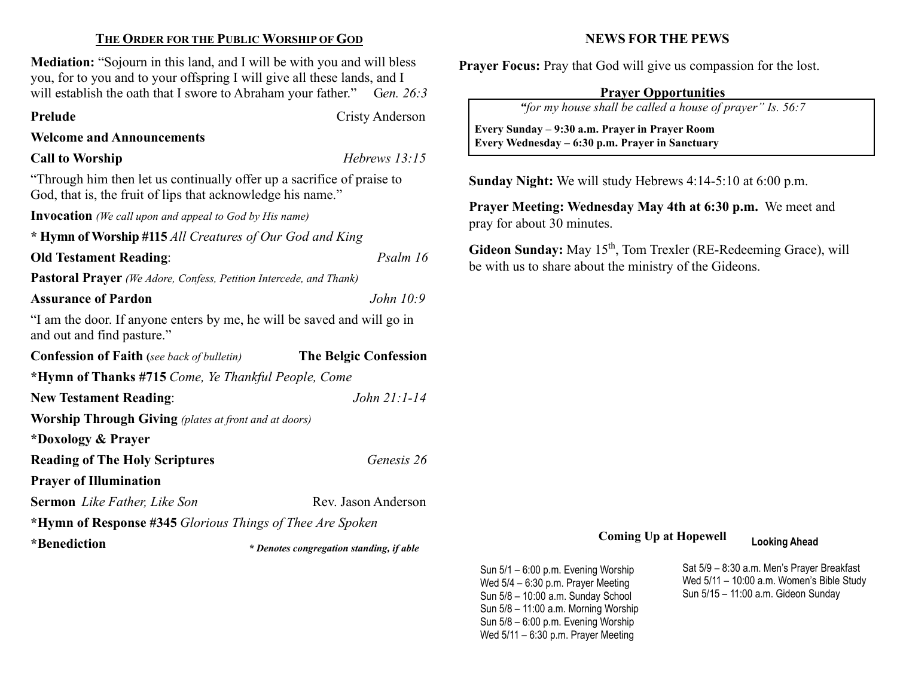## THE ORDER FOR THE PUBLIC WORSHIP OF GOD

Mediation: "Sojourn in this land, and I will be with you and will bless you, for to you and to your offspring I will give all these lands, and I will establish the oath that I swore to Abraham your father." Gen. 26:3

Prelude Cristy Anderson

#### Welcome and Announcements

### Call to Worship Hebrews 13:15

 $\overline{\phantom{a}}$ 

"Through him then let us continually offer up a sacrifice of praise to God, that is, the fruit of lips that acknowledge his name."

Invocation (We call upon and appeal to God by His name)

\* Hymn of Worship #115 All Creatures of Our God and King

Old Testament Reading: Psalm 16

Pastoral Prayer (We Adore, Confess, Petition Intercede, and Thank)

### Assurance of Pardon distribution of the *John 10:9*

"I am the door. If anyone enters by me, he will be saved and will go in and out and find pasture."

| <b>Confession of Faith</b> (see back of bulletin)            | <b>The Belgic Confession</b> |  |  |  |  |
|--------------------------------------------------------------|------------------------------|--|--|--|--|
| *Hymn of Thanks #715 Come, Ye Thankful People, Come          |                              |  |  |  |  |
| <b>New Testament Reading:</b>                                | John $21:1-14$               |  |  |  |  |
| <b>Worship Through Giving</b> (plates at front and at doors) |                              |  |  |  |  |
| *Doxology & Prayer                                           |                              |  |  |  |  |
| <b>Reading of The Holy Scriptures</b>                        | Genesis 26                   |  |  |  |  |
| <b>Prayer of Illumination</b>                                |                              |  |  |  |  |
| <b>Sermon</b> Like Father, Like Son                          | Rev. Jason Anderson          |  |  |  |  |
| *Hymn of Response #345 Glorious Things of Thee Are Spoken    |                              |  |  |  |  |
| $*D$ <sub>anad</sub> : $\leftrightarrow$                     |                              |  |  |  |  |

'Benediction

\* Denotes congregation standing, if able

# NEWS FOR THE PEWS

Prayer Focus: Pray that God will give us compassion for the lost.

# Prayer Opportunities

"for my house shall be called a house of prayer" Is. 56:7

 Every Sunday – 9:30 a.m. Prayer in Prayer Room Every Wednesday – 6:30 p.m. Prayer in Sanctuary

Sunday Night: We will study Hebrews 4:14-5:10 at 6:00 p.m.

Prayer Meeting: Wednesday May 4th at 6:30 p.m. We meet and pray for about 30 minutes.

Gideon Sunday: May  $15<sup>th</sup>$ , Tom Trexler (RE-Redeeming Grace), will be with us to share about the ministry of the Gideons.

# Coming Up at Hopewell Looking Ahead

Sun 5/1 – 6:00 p.m. Evening Worship Wed 5/4 – 6:30 p.m. Prayer Meeting Sun 5/8 – 10:00 a.m. Sunday School Sun 5/8 – 11:00 a.m. Morning Worship Sun 5/8 – 6:00 p.m. Evening Worship Wed 5/11 – 6:30 p.m. Prayer Meeting

Sat 5/9 – 8:30 a.m. Men's Prayer Breakfast Wed 5/11 – 10:00 a.m. Women's Bible Study Sun 5/15 – 11:00 a.m. Gideon Sunday